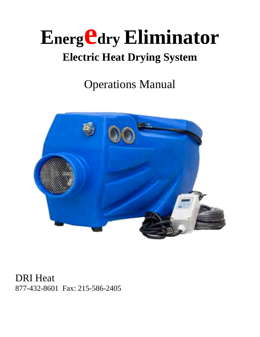# **Energ Cary Eliminator Electric Heat Drying System**

Operations Manual



DRI Heat 877-432-8601 Fax: 215-586-2405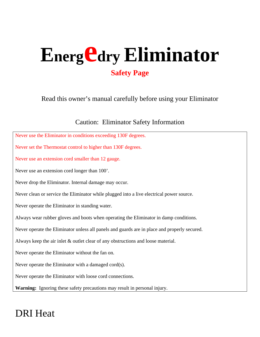## Energ Cdry Eliminator **Safety Page**

Read this owner's manual carefully before using your Eliminator

#### Caution: Eliminator Safety Information

| Never use the Eliminator in conditions exceeding 130F degrees.                               |
|----------------------------------------------------------------------------------------------|
| Never set the Thermostat control to higher than 130F degrees.                                |
| Never use an extension cord smaller than 12 gauge.                                           |
| Never use an extension cord longer than 100'.                                                |
| Never drop the Eliminator. Internal damage may occur.                                        |
| Never clean or service the Eliminator while plugged into a live electrical power source.     |
| Never operate the Eliminator in standing water.                                              |
| Always wear rubber gloves and boots when operating the Eliminator in damp conditions.        |
| Never operate the Eliminator unless all panels and guards are in place and properly secured. |
| Always keep the air inlet $\&$ outlet clear of any obstructions and loose material.          |
| Never operate the Eliminator without the fan on.                                             |
| Never operate the Eliminator with a damaged cord(s).                                         |
| Never operate the Eliminator with loose cord connections.                                    |
| Warning: Ignoring these safety precautions may result in personal injury.                    |

## DRI Heat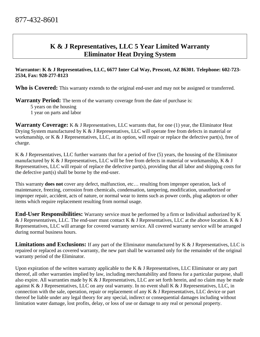#### **K & J Representatives, LLC 5 Year Limited Warranty Eliminator Heat Drying System**

#### **Warrantor: K & J Representatives, LLC, 6677 Inter Cal Way, Prescott, AZ 86301. Telephone: 602-723- 2534, Fax: 928-277-8123**

Who is Covered: This warranty extends to the original end-user and may not be assigned or transferred.

**Warranty Period:** The term of the warranty coverage from the date of purchase is:

- 5 years on the housing
- 1 year on parts and labor

**Warranty Coverage:** K & J Representatives, LLC warrants that, for one (1) year, the Eliminator Heat Drying System manufactured by K & J Representatives, LLC will operate free from defects in material or workmanship, or K & J Representatives, LLC, at its option, will repair or replace the defective part(s), free of charge.

K & J Representatives, LLC further warrants that for a period of five (5) years, the housing of the Eliminator manufactured by K & J Representatives, LLC will be free from defects in material or workmanship, K & J Representatives, LLC will repair of replace the defective part(s), providing that all labor and shipping costs for the defective part(s) shall be borne by the end-user.

This warranty **does not** cover any defect, malfunction, etc… resulting from improper operation, lack of maintenance, freezing, corrosion from chemicals, condensation, tampering, modification, unauthorized or improper repair, accident, acts of nature, or normal wear to items such as power cords, plug adaptors or other items which require replacement resulting from normal usage.

**End-User Responsibilities:** Warranty service must be performed by a firm or Individual authorized by K & J Representatives, LLC. The end-user must contact K & J Representatives, LLC at the above location. K & J Representatives, LLC will arrange for covered warranty service. All covered warranty service will be arranged during normal business hours.

**Limitations and Exclusions:** If any part of the Eliminator manufactured by K & J Representatives, LLC is repaired or replaced as covered warranty, the new part shall be warranted only for the remainder of the original warranty period of the Eliminator.

Upon expiration of the written warranty applicable to the K  $\&$  J Representatives, LLC Eliminator or any part thereof, all other warranties implied by law, including merchantability and fitness for a particular purpose, shall also expire. All warranties made by K & J Representatives, LLC are set forth herein, and no claim may be made against K & J Representatives, LLC on any oral warranty. In no event shall K & J Representatives, LLC, in connection with the sale, operation, repair or replacement of any K & J Representatives, LLC device or part thereof be liable under any legal theory for any special, indirect or consequential damages including without limitation water damage, lost profits, delay, or loss of use or damage to any real or personal property.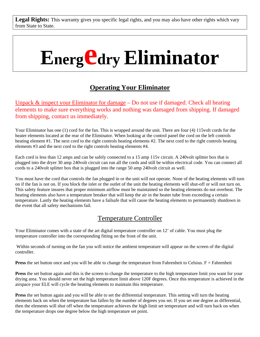Legal Rights: This warranty gives you specific legal rights, and you may also have other rights which vary from State to State.

# **Energ Cary Eliminator**

#### **Operating Your Eliminator**

Unpack & inspect your Eliminator for damage – Do not use if damaged. Check all heating elements to make sure everything works and nothing was damaged from shipping. If damaged from shipping, contact us immediately.

Your Eliminator has one (1) cord for the fan. This is wrapped around the unit. There are four (4) 115volt cords for the heater elements located at the rear of the Eliminator. When looking at the control panel the cord on the left controls heating element #1. The next cord to the right controls heating elements #2. The next cord to the right controls heating elements #3 and the next cord to the right controls heating elements #4.

Each cord is less than 12 amps and can be safely connected to a 15 amp 115v circuit. A 240volt splitter box that is plugged into the dryer 30 amp 240volt circuit can run all the cords and still be within electrical code. You can connect all cords to a 240volt splitter box that is plugged into the range 50 amp 240volt circuit as well.

You must have the cord that controls the fan plugged in or the unit will not operate. None of the heating elements will turn on if the fan is not on. If you block the inlet or the outlet of the unit the heating elements will shut-off or will not turn on. This safety feature insures that proper minimum airflow must be maintained so the heating elements do not overheat. The heating elements also have a temperature breaker that will keep the air in the heater tube from exceeding a certain temperature. Lastly the heating elements have a failsafe that will cause the heating elements to permanently shutdown in the event that all safety mechanisms fail.

#### Temperature Controller

Your Eliminator comes with a state of the art digital temperature controller on 12' of cable. You must plug the temperature controller into the corresponding fitting on the front of the unit.

 Within seconds of turning on the fan you will notice the ambient temperature will appear on the screen of the digital controller.

**Press** the set button once and you will be able to change the temperature from Fahrenheit to Celsius.  $F =$  Fahrenheit

Press the set button again and this is the screen to change the temperature to the high temperature limit you want for your drying area. You should never set the high temperature limit above 120F degrees. Once this temperature is achieved in the airspace your ELE will cycle the heating elements to maintain this temperature.

**Press** the set button again and you will be able to set the differential temperature. This setting will turn the heating elements back on when the temperature has fallen by the number of degrees you set. If you set one degree as differential, then the elements will shut off when the temperature achieves the high limit set temperature and will turn back on when the temperature drops one degree below the high temperature set point.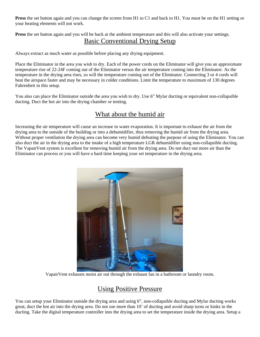**Press** the set button again and you can change the screen from H1 to C1 and back to H1. You must be on the H1 setting or your heating elements will not work.

**Press** the set button again and you will be back at the ambient temperature and this will also activate your settings. Basic Conventional Drying Setup

Always extract as much water as possible before placing any drying equipment.

Place the Eliminator in the area you wish to dry. Each of the power cords on the Eliminator will give you an approximate temperature rise of 22-24F coming out of the Eliminator versus the air temperature coming into the Eliminator. As the temperature in the drying area rises, so will the temperature coming out of the Eliminator. Connecting 3 or 4 cords will heat the airspace faster and may be necessary in colder conditions. Limit the temperature to maximum of 130 degrees Fahrenheit in this setup.

You also can place the Eliminator outside the area you wish to dry. Use 6" Mylar ducting or equivalent non-collapsible ducting. Duct the hot air into the drying chamber or tenting.

#### What about the humid air

Increasing the air temperature will cause an increase in water evaporation. It is important to exhaust the air from the drying area to the outside of the building or into a dehumidifier, thus removing the humid air from the drying area. Without proper ventilation the drying area can become very humid defeating the purpose of using the Eliminator. You can also duct the air in the drying area to the intake of a high temperature LGR dehumidifier using non-collapsible ducting. The VapairVent system is excellent for removing humid air from the drying area. Do not duct out more air than the Eliminator can process or you will have a hard time keeping your set temperature in the drying area.



VapairVent exhausts moist air out through the exhaust fan in a bathroom or laundry room.

#### Using Positive Pressure

You can setup your Eliminator outside the drying area and using 6", non-collapsible ducting and Mylar ducting works great, duct the hot air into the drying area. Do not use more than 10' of ducting and avoid sharp turns or kinks in the ducting. Take the digital temperature controller into the drying area to set the temperature inside the drying area. Setup a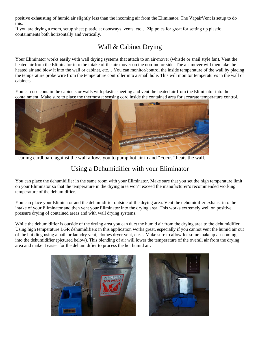positive exhausting of humid air slightly less than the incoming air from the Eliminator. The VapairVent is setup to do this.

If you are drying a room, setup sheet plastic at doorways, vents, etc… Zip poles for great for setting up plastic containments both horizontally and vertically.

#### Wall & Cabinet Drying

Your Eliminator works easily with wall drying systems that attach to an air-mover (whistle or snail style fan). Vent the heated air from the Eliminator into the intake of the air-mover on the non-motor side. The air-mover will then take the heated air and blow it into the wall or cabinet, etc… You can monitor/control the inside temperature of the wall by placing the temperature probe wire from the temperature controller into a small hole. This will monitor temperatures in the wall or cabinets.

You can use contain the cabinets or walls with plastic sheeting and vent the heated air from the Eliminator into the containment. Make sure to place the thermostat sensing cord inside the contained area for accurate temperature control.



Leaning cardboard against the wall allows you to pump hot air in and "Focus" heats the wall.

#### Using a Dehumidifier with your Eliminator

You can place the dehumidifier in the same room with your Eliminator. Make sure that you set the high temperature limit on your Eliminator so that the temperature in the drying area won't exceed the manufacturer's recommended working temperature of the dehumidifier.

You can place your Eliminator and the dehumidifier outside of the drying area. Vent the dehumidifier exhaust into the intake of your Eliminator and then vent your Eliminator into the drying area. This works extremely well on positive pressure drying of contained areas and with wall drying systems.

While the dehumidifier is outside of the drying area you can duct the humid air from the drying area to the dehumidifier. Using high temperature LGR dehumidifiers in this application works great, especially if you cannot vent the humid air out of the building using a bath or laundry vent, clothes dryer vent, etc… Make sure to allow for some makeup air coming into the dehumidifier (pictured below). This blending of air will lower the temperature of the overall air from the drying area and make it easier for the dehumidifier to process the hot humid air.



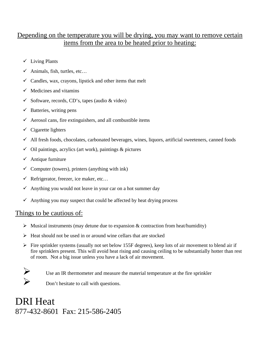#### Depending on the temperature you will be drying, you may want to remove certain items from the area to be heated prior to heating:

- $\checkmark$  Living Plants
- $\checkmark$  Animals, fish, turtles, etc...
- $\checkmark$  Candles, wax, crayons, lipstick and other items that melt
- $\checkmark$  Medicines and vitamins
- $\checkmark$  Software, records, CD's, tapes (audio & video)
- $\checkmark$  Batteries, writing pens
- $\checkmark$  Aerosol cans, fire extinguishers, and all combustible items
- $\checkmark$  Cigarette lighters
- $\checkmark$  All fresh foods, chocolates, carbonated beverages, wines, liquors, artificial sweeteners, canned foods
- $\checkmark$  Oil paintings, acrylics (art work), paintings & pictures
- $\checkmark$  Antique furniture
- $\checkmark$  Computer (towers), printers (anything with ink)
- $\checkmark$  Refrigerator, freezer, ice maker, etc...
- $\checkmark$  Anything you would not leave in your car on a hot summer day
- $\checkmark$  Anything you may suspect that could be affected by heat drying process

#### Things to be cautious of:

- $\triangleright$  Musical instruments (may detune due to expansion & contraction from heat/humidity)
- $\triangleright$  Heat should not be used in or around wine cellars that are stocked
- $\triangleright$  Fire sprinkler systems (usually not set below 155F degrees), keep lots of air movement to blend air if fire sprinklers present. This will avoid heat rising and causing ceiling to be substantially hotter than rest of room. Not a big issue unless you have a lack of air movement.



 $\triangleright$  Use an IR thermometer and measure the material temperature at the fire sprinkler

Don't hesitate to call with questions.

DRI Heat 877-432-8601 Fax: 215-586-2405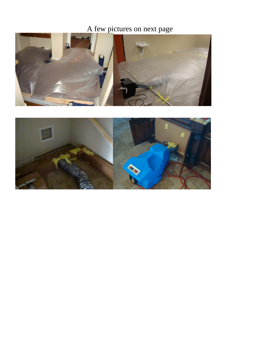### A few pictures on next page